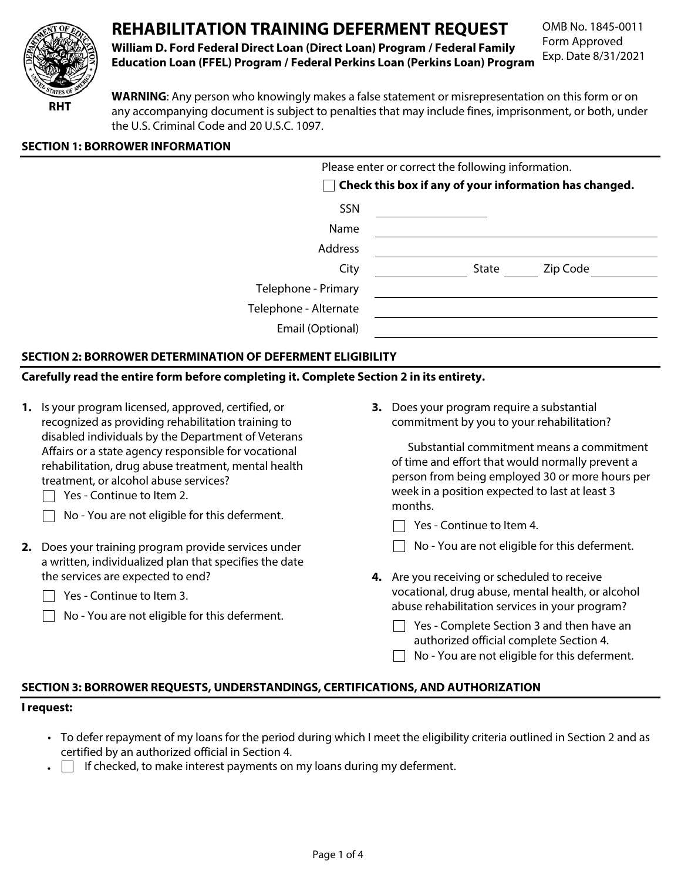

# **REHABILITATION TRAINING DEFERMENT REQUEST** OMB No. 1845-0011

Form Approved **William D. Ford Federal Direct Loan (Direct Loan) Program / Federal Family** Exp. Date 8/31/2021 **Education Loan (FFEL) Program / Federal Perkins Loan (Perkins Loan) Program** 

**WARNING**: Any person who knowingly makes a false statement or misrepresentation on this form or on **RHT** *any accompanying document is subject to penalties that may include fines, imprisonment, or both, under* the U.S. Criminal Code and 20 U.S.C. 1097.

# **SECTION 1: BORROWER INFORMATION**

| Please enter or correct the following information.     |  |  |  |  |
|--------------------------------------------------------|--|--|--|--|
| Check this box if any of your information has changed. |  |  |  |  |
|                                                        |  |  |  |  |
|                                                        |  |  |  |  |
|                                                        |  |  |  |  |
| Zip Code<br>State                                      |  |  |  |  |
|                                                        |  |  |  |  |
|                                                        |  |  |  |  |
|                                                        |  |  |  |  |
|                                                        |  |  |  |  |

# **SECTION 2: BORROWER DETERMINATION OF DEFERMENT ELIGIBILITY**

# **Carefully read the entire form before completing it. Complete Section 2 in its entirety.**

- **1.** Is your program licensed, approved, certified, or **3.** Does your program require a substantial recognized as providing rehabilitation training to commitment by you to your rehabilitation? disabled individuals by the Department of Veterans Affairs or a state agency responsible for vocational<br>  $\frac{1}{2}$  Substantial commitment means a commitment<br>
of time and effort that would normally prevent a rehabilitation, drug abuse treatment, mental health treatment, or alcohol abuse services? person from being employed 30 or more hours per
	- $\Box$  Yes Continue to Item 2.
	- $\Box$ No - You are not eligible for this deferment.
- **2.** Does your training program provide services under a written, individualized plan that specifies the date the services are expected to end? **4.** Are you receiving or scheduled to receive
	- $\Box$  Yes Continue to Item 3.
	- $\Box$  No You are not eligible for this deferment.

week in a position expected to last at least 3 months.

- $\Box$  Yes Continue to Item 4.
- $\Box$  No You are not eligible for this deferment.
- vocational, drug abuse, mental health, or alcohol abuse rehabilitation services in your program?
	- $\Box$  Yes Complete Section 3 and then have an authorized official complete Section 4.
	- $\Box$  No You are not eligible for this deferment.

### **SECTION 3: BORROWER REQUESTS, UNDERSTANDINGS, CERTIFICATIONS, AND AUTHORIZATION**

#### **I request:**

- To defer repayment of my loans for the period during which I meet the eligibility criteria outlined in Section 2 and as certified by an authorized official in Section 4.
- $\bullet$  If checked, to make interest payments on my loans during my deferment.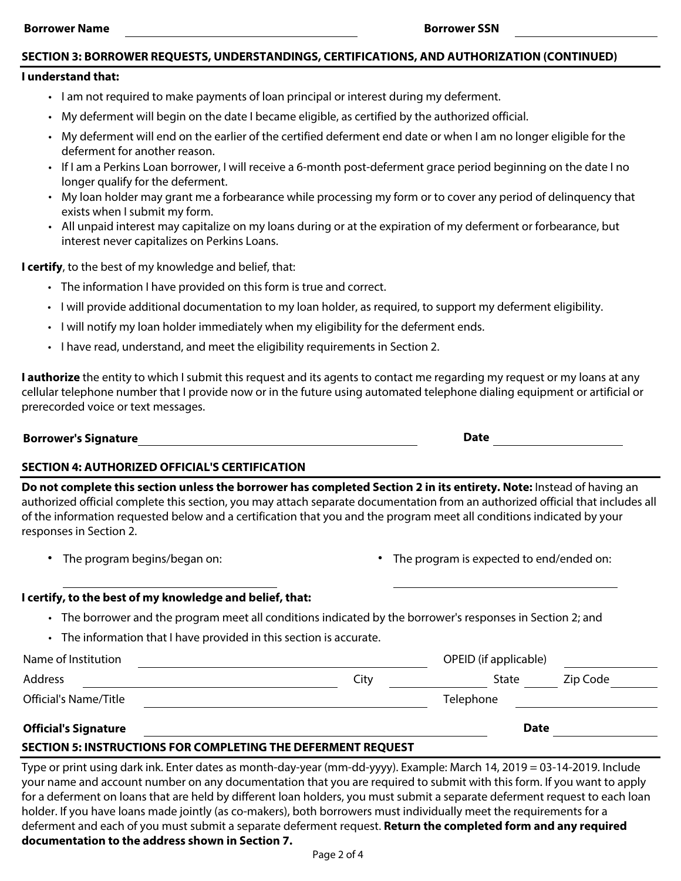#### **Borrower Name Borrower SSN**

## **SECTION 3: BORROWER REQUESTS, UNDERSTANDINGS, CERTIFICATIONS, AND AUTHORIZATION (CONTINUED)**

#### **I understand that:**

- I am not required to make payments of loan principal or interest during my deferment.
- My deferment will begin on the date I became eligible, as certified by the authorized official.
- My deferment will end on the earlier of the certified deferment end date or when I am no longer eligible for the deferment for another reason.
- If I am a Perkins Loan borrower, I will receive a 6-month post-deferment grace period beginning on the date I no longer qualify for the deferment.
- My loan holder may grant me a forbearance while processing my form or to cover any period of delinquency that exists when I submit my form.
- All unpaid interest may capitalize on my loans during or at the expiration of my deferment or forbearance, but interest never capitalizes on Perkins Loans.

**I certify**, to the best of my knowledge and belief, that:

- The information I have provided on this form is true and correct.
- I will provide additional documentation to my loan holder, as required, to support my deferment eligibility.
- I will notify my loan holder immediately when my eligibility for the deferment ends.
- I have read, understand, and meet the eligibility requirements in Section 2.

**I authorize** the entity to which I submit this request and its agents to contact me regarding my request or my loans at any cellular telephone number that I provide now or in the future using automated telephone dialing equipment or artificial or prerecorded voice or text messages.

#### **Borrower's Signature Exercise Signature According to the UP of Contract Contract Contract Contract Contract Contract Contract Contract Contract Contract Contract Contract Contract Contract Contract Contract Contract Contr**

# **SECTION 4: AUTHORIZED OFFICIAL'S CERTIFICATION**

**Do not complete this section unless the borrower has completed Section 2 in its entirety. Note:** Instead of having an authorized official complete this section, you may attach separate documentation from an authorized official that includes all of the information requested below and a certification that you and the program meet all conditions indicated by your responses in Section 2.

- 
- The program begins/began on: The program is expected to end/ended on:

### **I certify, to the best of my knowledge and belief, that:**

- The borrower and the program meet all conditions indicated by the borrower's responses in Section 2; and
- The information that I have provided in this section is accurate.

| Name of Institution         |      | OPEID (if applicable) |          |  |
|-----------------------------|------|-----------------------|----------|--|
| Address                     | City | State                 | Zip Code |  |
| Official's Name/Title       |      | Telephone             |          |  |
| <b>Official's Signature</b> |      | <b>Date</b>           |          |  |

### **Official's Signature**

# **SECTION 5: INSTRUCTIONS FOR COMPLETING THE DEFERMENT REQUEST**

Type or print using dark ink. Enter dates as month-day-year (mm-dd-yyyy). Example: March 14, 2019 = 03-14-2019. Include your name and account number on any documentation that you are required to submit with this form. If you want to apply for a deferment on loans that are held by different loan holders, you must submit a separate deferment request to each loan holder. If you have loans made jointly (as co-makers), both borrowers must individually meet the requirements for a deferment and each of you must submit a separate deferment request. **Return the completed form and any required documentation to the address shown in Section 7.**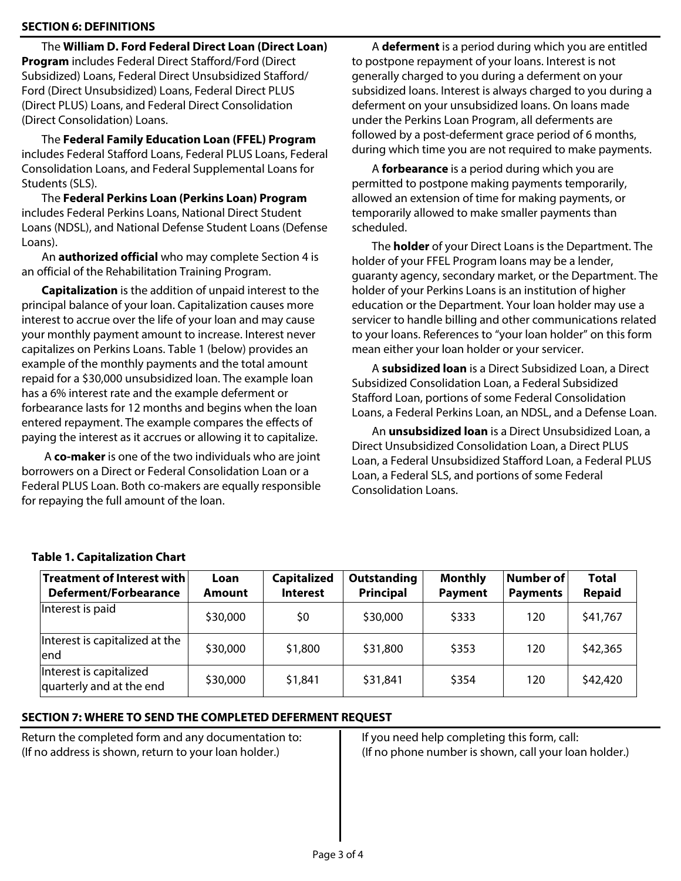# **SECTION 6: DEFINITIONS**

The **William D. Ford Federal Direct Loan (Direct Loan) Program** includes Federal Direct Stafford/Ford (Direct Subsidized) Loans, Federal Direct Unsubsidized Stafford/ Ford (Direct Unsubsidized) Loans, Federal Direct PLUS (Direct PLUS) Loans, and Federal Direct Consolidation (Direct Consolidation) Loans.

The **Federal Family Education Loan (FFEL) Program**  includes Federal Stafford Loans, Federal PLUS Loans, Federal Consolidation Loans, and Federal Supplemental Loans for Students (SLS).

The **Federal Perkins Loan (Perkins Loan) Program**  includes Federal Perkins Loans, National Direct Student Loans (NDSL), and National Defense Student Loans (Defense Loans).

An **authorized official** who may complete Section 4 is an official of the Rehabilitation Training Program.

**Capitalization** is the addition of unpaid interest to the principal balance of your loan. Capitalization causes more interest to accrue over the life of your loan and may cause your monthly payment amount to increase. Interest never capitalizes on Perkins Loans. Table 1 (below) provides an example of the monthly payments and the total amount repaid for a \$30,000 unsubsidized loan. The example loan has a 6% interest rate and the example deferment or forbearance lasts for 12 months and begins when the loan entered repayment. The example compares the effects of paying the interest as it accrues or allowing it to capitalize.

 A **co-maker** is one of the two individuals who are joint borrowers on a Direct or Federal Consolidation Loan or a Federal PLUS Loan. Both co-makers are equally responsible for repaying the full amount of the loan.

A **deferment** is a period during which you are entitled to postpone repayment of your loans. Interest is not generally charged to you during a deferment on your subsidized loans. Interest is always charged to you during a deferment on your unsubsidized loans. On loans made under the Perkins Loan Program, all deferments are followed by a post-deferment grace period of 6 months, during which time you are not required to make payments.

A **forbearance** is a period during which you are permitted to postpone making payments temporarily, allowed an extension of time for making payments, or temporarily allowed to make smaller payments than scheduled.

The **holder** of your Direct Loans is the Department. The holder of your FFEL Program loans may be a lender, guaranty agency, secondary market, or the Department. The holder of your Perkins Loans is an institution of higher education or the Department. Your loan holder may use a servicer to handle billing and other communications related to your loans. References to "your loan holder" on this form mean either your loan holder or your servicer.

A **subsidized loan** is a Direct Subsidized Loan, a Direct Subsidized Consolidation Loan, a Federal Subsidized Stafford Loan, portions of some Federal Consolidation Loans, a Federal Perkins Loan, an NDSL, and a Defense Loan.

An **unsubsidized loan** is a Direct Unsubsidized Loan, a Direct Unsubsidized Consolidation Loan, a Direct PLUS Loan, a Federal Unsubsidized Stafford Loan, a Federal PLUS Loan, a Federal SLS, and portions of some Federal Consolidation Loans.

| <b>Treatment of Interest with</b><br><b>Deferment/Forbearance</b> | Loan<br><b>Amount</b> | <b>Capitalized</b><br><b>Interest</b> | <b>Outstanding</b><br>Principal | <b>Monthly</b><br><b>Payment</b> | <b>Number of</b><br><b>Payments</b> | <b>Total</b><br><b>Repaid</b> |
|-------------------------------------------------------------------|-----------------------|---------------------------------------|---------------------------------|----------------------------------|-------------------------------------|-------------------------------|
| Interest is paid                                                  | \$30,000              | \$0                                   | \$30,000                        | \$333                            | 120                                 | \$41,767                      |
| Interest is capitalized at the<br>end                             | \$30,000              | \$1,800                               | \$31,800                        | \$353                            | 120                                 | \$42,365                      |
| Interest is capitalized<br>quarterly and at the end               | \$30,000              | \$1,841                               | \$31,841                        | \$354                            | 120                                 | \$42,420                      |

# **Table 1. Capitalization Chart**

# **SECTION 7: WHERE TO SEND THE COMPLETED DEFERMENT REQUEST**

Return the completed form and any documentation to: (If no address is shown, return to your loan holder.)

If you need help completing this form, call: (If no phone number is shown, call your loan holder.)